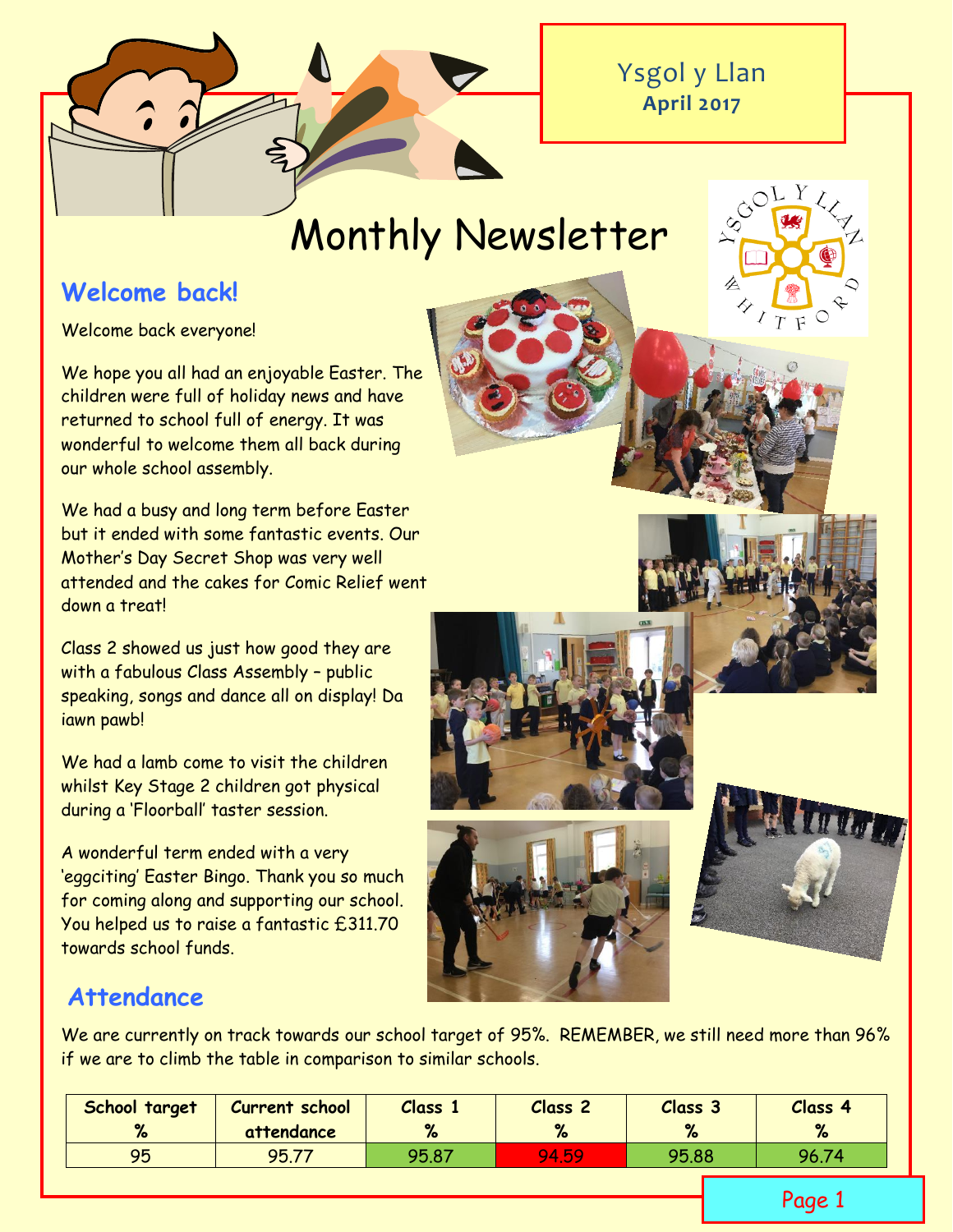

# Monthly Newsletter

# **Welcome back!**

Welcome back everyone!

We hope you all had an enjoyable Easter. The children were full of holiday news and have returned to school full of energy. It was wonderful to welcome them all back during our whole school assembly.

We had a busy and long term before Easter but it ended with some fantastic events. Our Mother's Day Secret Shop was very well attended and the cakes for Comic Relief went down a treat!

Class 2 showed us just how good they are with a fabulous Class Assembly – public speaking, songs and dance all on display! Da iawn pawb!

We had a lamb come to visit the children whilst Key Stage 2 children got physical during a 'Floorball' taster session.

A wonderful term ended with a very 'eggciting' Easter Bingo. Thank you so much for coming along and supporting our school. You helped us to raise a fantastic £311.70 towards school funds.



# **Attendance**

We are currently on track towards our school target of 95%. REMEMBER, we still need more than 96% if we are to climb the table in comparison to similar schools.

| School target<br>$\mathbf{a}$ | <b>Current school</b><br>attendance | <b>Class</b><br>$\mathbf{a}$ | Class <sub>2</sub><br>$\mathbf{Q}$<br>70 | Class <sub>3</sub><br>$\mathbf{v}$<br>70 | Class 4<br>% |
|-------------------------------|-------------------------------------|------------------------------|------------------------------------------|------------------------------------------|--------------|
| 95                            | 95.77                               | 95.87                        | 94.59                                    | 95.88                                    | 96.74        |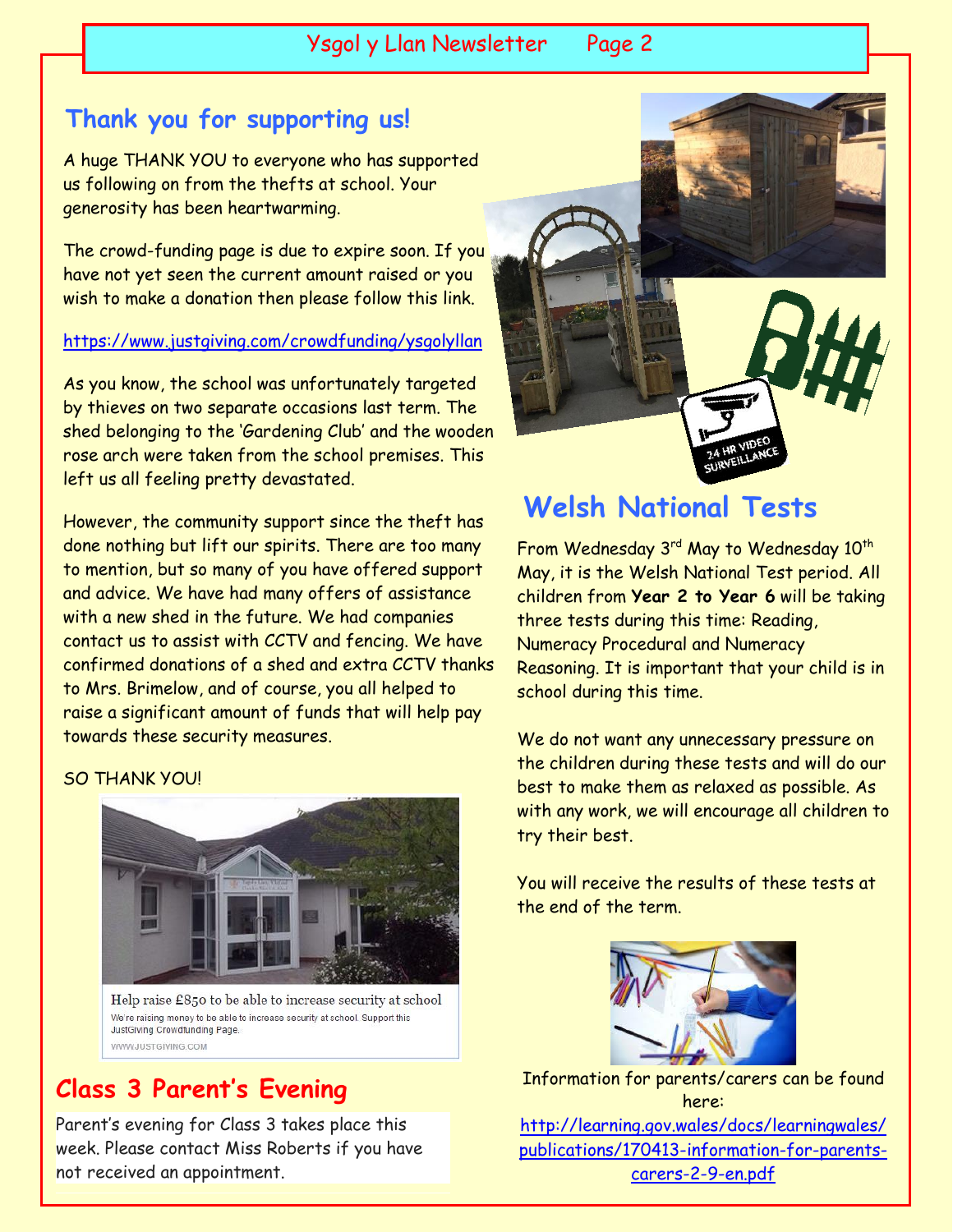Ysgol y Llan Newsletter Page 2

### **Thank you for supporting us!**

A huge THANK YOU to everyone who has supported us following on from the thefts at school. Your generosity has been heartwarming.

The crowd-funding page is due to expire soon. If you have not yet seen the current amount raised or you wish to make a donation then please follow this link.

<https://www.justgiving.com/crowdfunding/ysgolyllan>

As you know, the school was unfortunately targeted by thieves on two separate occasions last term. The shed belonging to the 'Gardening Club' and the wooden rose arch were taken from the school premises. This left us all feeling pretty devastated.

However, the community support since the theft has done nothing but lift our spirits. There are too many to mention, but so many of you have offered support and advice. We have had many offers of assistance with a new shed in the future. We had companies contact us to assist with CCTV and fencing. We have confirmed donations of a shed and extra CCTV thanks to Mrs. Brimelow, and of course, you all helped to raise a significant amount of funds that will help pay towards these security measures.

#### SO THANK YOU!



Help raise £850 to be able to increase security at school We're raising money to be able to increase security at school. Support this JustGiving Crowdfunding Page WWW.ILISTGIVING COM

# **Class 3 Parent's Evening**

Parent's evening for Class 3 takes place this week. Please contact Miss Roberts if you have not received an appointment.



# **Welsh National Tests**

From Wednesday 3<sup>rd</sup> May to Wednesday 10<sup>th</sup> May, it is the Welsh National Test period. All children from **Year 2 to Year 6** will be taking three tests during this time: Reading, Numeracy Procedural and Numeracy Reasoning. It is important that your child is in school during this time.

We do not want any unnecessary pressure on the children during these tests and will do our best to make them as relaxed as possible. As with any work, we will encourage all children to try their best.

You will receive the results of these tests at the end of the term.



Information for parents/carers can be found here: [http://learning.gov.wales/docs/learningwales/](http://learning.gov.wales/docs/learningwales/publications/170413-information-for-parents-carers-2-9-en.pdf) [publications/170413-information-for-parents](http://learning.gov.wales/docs/learningwales/publications/170413-information-for-parents-carers-2-9-en.pdf)[carers-2-9-en.pdf](http://learning.gov.wales/docs/learningwales/publications/170413-information-for-parents-carers-2-9-en.pdf)